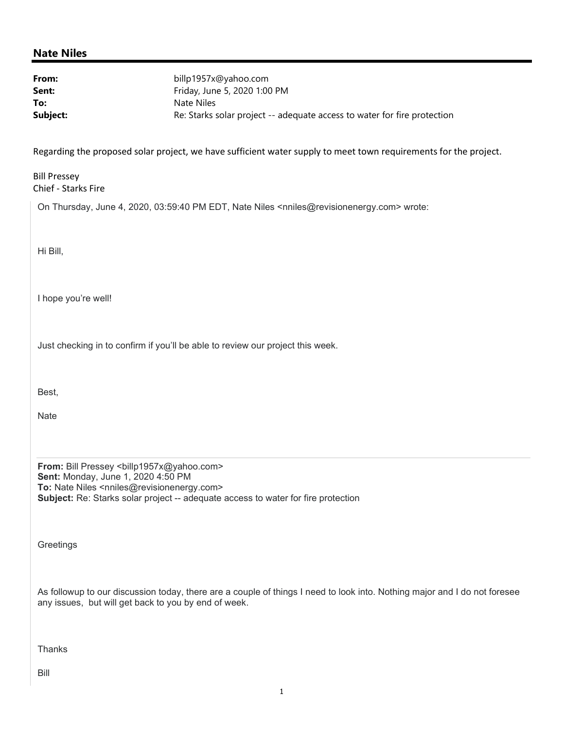## Nate Niles

| From:    | billp1957x@yahoo.com                                                     |
|----------|--------------------------------------------------------------------------|
| Sent:    | Friday, June 5, 2020 1:00 PM                                             |
| To:      | Nate Niles                                                               |
| Subject: | Re: Starks solar project -- adequate access to water for fire protection |

Regarding the proposed solar project, we have sufficient water supply to meet town requirements for the project.

## Bill Pressey Chief - Starks Fire

On Thursday, June 4, 2020, 03:59:40 PM EDT, Nate Niles <nniles@revisionenergy.com> wrote:

Hi Bill,

I hope you're well!

Just checking in to confirm if you'll be able to review our project this week.

Best,

Nate

From: Bill Pressey <billp1957x@yahoo.com> Sent: Monday, June 1, 2020 4:50 PM To: Nate Niles <nniles@revisionenergy.com> Subject: Re: Starks solar project -- adequate access to water for fire protection

**Greetings** 

As followup to our discussion today, there are a couple of things I need to look into. Nothing major and I do not foresee any issues, but will get back to you by end of week.

**Thanks** 

Bill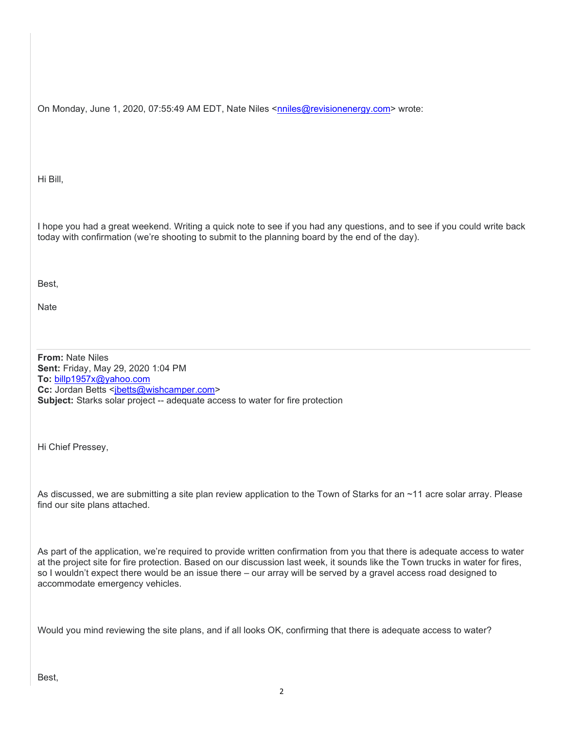On Monday, June 1, 2020, 07:55:49 AM EDT, Nate Niles <nniles@revisionenergy.com> wrote:

Hi Bill,

I hope you had a great weekend. Writing a quick note to see if you had any questions, and to see if you could write back today with confirmation (we're shooting to submit to the planning board by the end of the day).

Best,

Nate

From: Nate Niles Sent: Friday, May 29, 2020 1:04 PM To: billp1957x@yahoo.com Cc: Jordan Betts <jbetts@wishcamper.com> Subject: Starks solar project -- adequate access to water for fire protection

Hi Chief Pressey,

As discussed, we are submitting a site plan review application to the Town of Starks for an ~11 acre solar array. Please find our site plans attached.

As part of the application, we're required to provide written confirmation from you that there is adequate access to water at the project site for fire protection. Based on our discussion last week, it sounds like the Town trucks in water for fires, so I wouldn't expect there would be an issue there – our array will be served by a gravel access road designed to accommodate emergency vehicles.

Would you mind reviewing the site plans, and if all looks OK, confirming that there is adequate access to water?